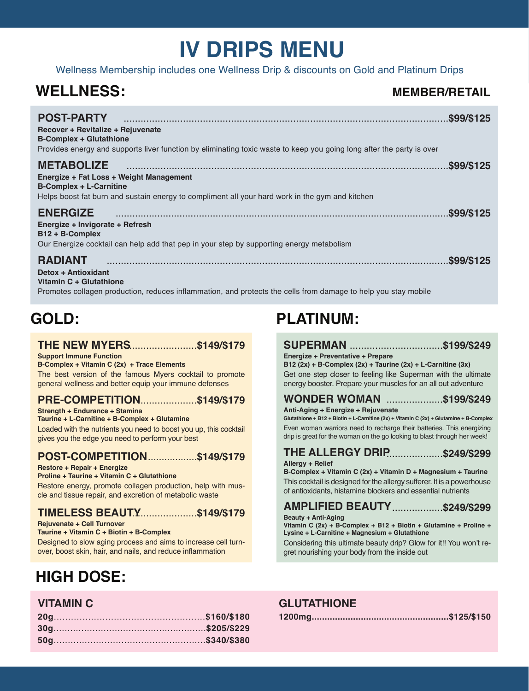# **IV DRIPS MENU**

Wellness Membership includes one Wellness Drip & discounts on Gold and Platinum Drips

# **WELLNESS:**

# **MEMBER/RETAIL**

| <b>POST-PARTY</b><br>Recover + Revitalize + Rejuvenate<br><b>B-Complex + Glutathione</b><br>Provides energy and supports liver function by eliminating toxic waste to keep you going long after the party is over | \$99/\$125  |
|-------------------------------------------------------------------------------------------------------------------------------------------------------------------------------------------------------------------|-------------|
| <b>METABOLIZE</b><br>Energize + Fat Loss + Weight Management<br><b>B-Complex + L-Carnitine</b><br>Helps boost fat burn and sustain energy to compliment all your hard work in the gym and kitchen                 | .\$99/\$125 |
| <b>ENERGIZE</b><br>Energize + Invigorate + Refresh<br>$B12 + B$ -Complex                                                                                                                                          |             |
| Our Energize cocktail can help add that pep in your step by supporting energy metabolism                                                                                                                          |             |
| <b>RADIANT</b><br>Detox + Antioxidant<br>Vitamin C + Glutathione                                                                                                                                                  | .\$99/\$125 |

# **THE NEW MYERS** ........................**\$149/\$179**

**Support Immune Function B-Complex + Vitamin C (2x) + Trace Elements**

The best version of the famous Myers cocktail to promote general wellness and better equip your immune defenses

# **PRE-COMPETITION...................\$149/\$179** WONDER WOMAN

**Strength + Endurance + Stamina**

Loaded with the nutrients you need to boost you up, this cocktail gives you the edge you need to perform your best **Taurine + L-Carnitine + B-Complex + Glutamine**

# **POST-COMPETITION .................\$149/\$179** THE ALLERGY DRIP

**Restore + Repair + Energize**

**Proline + Taurine + Vitamin C + Glutathione**

Restore energy, promote collagen production, help with muscle and tissue repair, and excretion of metabolic waste

# **TIMELESS BEAUTY** .......................**\$149/\$179**

**Rejuvenate + Cell Turnover**

**Taurine + Vitamin C + Biotin + B-Complex**

Designed to slow aging process and aims to increase cell turnover, boost skin, hair, and nails, and reduce inflammation

# **HIGH DOSE:**

# **GOLD: PLATINUM:**

#### **SUPERMAN** .................................**\$199/\$249 Energize + Preventative + Prepare**

Get one step closer to feeling like Superman with the ultimate energy booster. Prepare your muscles for an all out adventure **B12 (2x) + B-Complex (2x) + Taurine (2x) + L-Carnitine (3x)**

# ....................**\$199/\$249**

**Anti-Aging + Energize + Rejuvenate**

Even woman warriors need to recharge their batteries. This energizing drip is great for the woman on the go looking to blast through her week! **Glutathione + B12 + Biotin + L-Carnitine (2x) + Vitamin C (2x) + Glutamine + B-Complex**

# THE ALLERGY DRIP..................\$249/\$299

#### **Allergy + Relief**

This cocktail is designed for the allergy sufferer. It is a powerhouse of antioxidants, histamine blockers and essential nutrients **B-Complex + Vitamin C (2x) + Vitamin D + Magnesium + Taurine**

# **AMPLIFIED BEAUTY** ..................**\$249/\$299**

**Beauty + Anti-Aging**

**Vitamin C (2x) + B-Complex + B12 + Biotin + Glutamine + Proline + Lysine + L-Carnitine + Magnesium + Glutathione**

Considering this ultimate beauty drip? Glow for it!! You won't regret nourishing your body from the inside out

# **VITAMIN C GLUTATHIONE**

**1200mg.....................................................\$125/\$150**